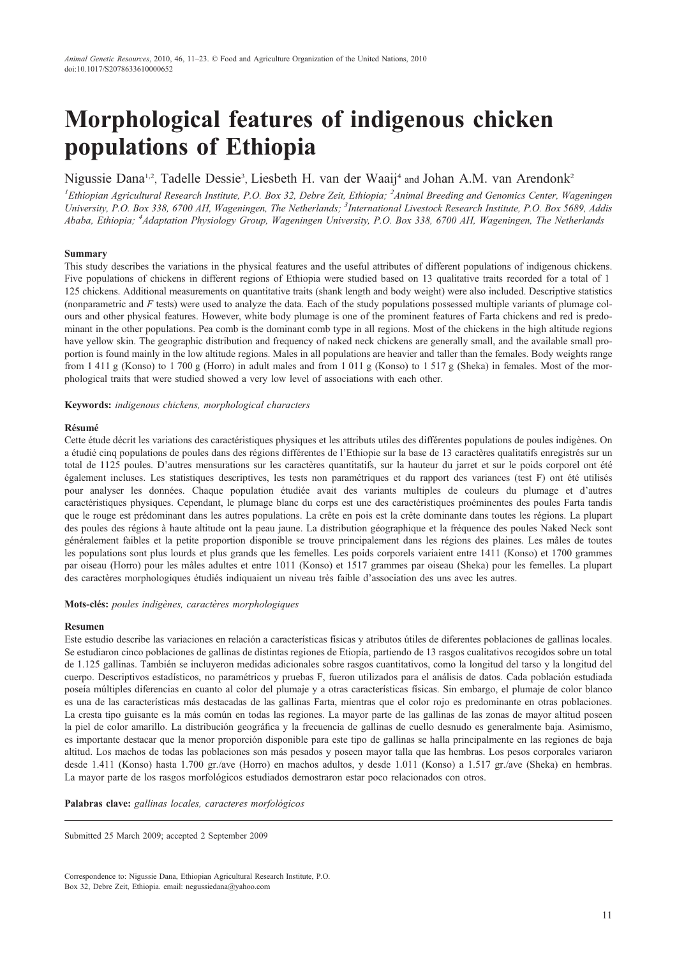# Morphological features of indigenous chicken populations of Ethiopia

# Nigussie Dana<sup>1,2</sup>, Tadelle Dessie<sup>3</sup>, Liesbeth H. van der Waaij<sup>4</sup> and Johan A.M. van Arendonk<sup>2</sup>

<sup>1</sup>Ethiopian Agricultural Research Institute, P.O. Box 32, Debre Zeit, Ethiopia; <sup>2</sup>Animal Breeding and Genomics Center, Wageningen University, P.O. Box 338, 6700 AH, Wageningen, The Netherlands; <sup>3</sup>International Livestock Research Institute, P.O. Box 5689, Addis Ababa, Ethiopia; <sup>4</sup>Adaptation Physiology Group, Wageningen University, P.O. Box 338, 6700 AH, Wageningen, The Netherlands

#### Summary

This study describes the variations in the physical features and the useful attributes of different populations of indigenous chickens. Five populations of chickens in different regions of Ethiopia were studied based on 13 qualitative traits recorded for a total of 1 125 chickens. Additional measurements on quantitative traits (shank length and body weight) were also included. Descriptive statistics (nonparametric and  $F$  tests) were used to analyze the data. Each of the study populations possessed multiple variants of plumage colours and other physical features. However, white body plumage is one of the prominent features of Farta chickens and red is predominant in the other populations. Pea comb is the dominant comb type in all regions. Most of the chickens in the high altitude regions have yellow skin. The geographic distribution and frequency of naked neck chickens are generally small, and the available small proportion is found mainly in the low altitude regions. Males in all populations are heavier and taller than the females. Body weights range from 1 411 g (Konso) to 1 700 g (Horro) in adult males and from 1 011 g (Konso) to 1 517 g (Sheka) in females. Most of the morphological traits that were studied showed a very low level of associations with each other.

Keywords: indigenous chickens, morphological characters

#### Résumé

Cette étude décrit les variations des caractéristiques physiques et les attributs utiles des différentes populations de poules indigènes. On a étudié cinq populations de poules dans des régions différentes de l'Ethiopie sur la base de 13 caractères qualitatifs enregistrés sur un total de 1125 poules. D'autres mensurations sur les caractères quantitatifs, sur la hauteur du jarret et sur le poids corporel ont été également incluses. Les statistiques descriptives, les tests non paramétriques et du rapport des variances (test F) ont été utilisés pour analyser les données. Chaque population étudiée avait des variants multiples de couleurs du plumage et d'autres caractéristiques physiques. Cependant, le plumage blanc du corps est une des caractéristiques proéminentes des poules Farta tandis que le rouge est prédominant dans les autres populations. La crête en pois est la crête dominante dans toutes les régions. La plupart des poules des régions à haute altitude ont la peau jaune. La distribution géographique et la fréquence des poules Naked Neck sont généralement faibles et la petite proportion disponible se trouve principalement dans les régions des plaines. Les mâles de toutes les populations sont plus lourds et plus grands que les femelles. Les poids corporels variaient entre 1411 (Konso) et 1700 grammes par oiseau (Horro) pour les mâles adultes et entre 1011 (Konso) et 1517 grammes par oiseau (Sheka) pour les femelles. La plupart des caractères morphologiques étudiés indiquaient un niveau très faible d'association des uns avec les autres.

Mots-clés: poules indigènes, caractères morphologiques

#### Resumen

Este estudio describe las variaciones en relación a características físicas y atributos útiles de diferentes poblaciones de gallinas locales. Se estudiaron cinco poblaciones de gallinas de distintas regiones de Etiopía, partiendo de 13 rasgos cualitativos recogidos sobre un total de 1.125 gallinas. También se incluyeron medidas adicionales sobre rasgos cuantitativos, como la longitud del tarso y la longitud del cuerpo. Descriptivos estadísticos, no paramétricos y pruebas F, fueron utilizados para el análisis de datos. Cada población estudiada poseía múltiples diferencias en cuanto al color del plumaje y a otras características físicas. Sin embargo, el plumaje de color blanco es una de las características más destacadas de las gallinas Farta, mientras que el color rojo es predominante en otras poblaciones. La cresta tipo guisante es la más común en todas las regiones. La mayor parte de las gallinas de las zonas de mayor altitud poseen la piel de color amarillo. La distribución geográfica y la frecuencia de gallinas de cuello desnudo es generalmente baja. Asimismo, es importante destacar que la menor proporción disponible para este tipo de gallinas se halla principalmente en las regiones de baja altitud. Los machos de todas las poblaciones son más pesados y poseen mayor talla que las hembras. Los pesos corporales variaron desde 1.411 (Konso) hasta 1.700 gr./ave (Horro) en machos adultos, y desde 1.011 (Konso) a 1.517 gr./ave (Sheka) en hembras. La mayor parte de los rasgos morfológicos estudiados demostraron estar poco relacionados con otros.

Palabras clave: gallinas locales, caracteres morfológicos

Submitted 25 March 2009; accepted 2 September 2009

Correspondence to: Nigussie Dana, Ethiopian Agricultural Research Institute, P.O. Box 32, Debre Zeit, Ethiopia. email: negussiedana@yahoo.com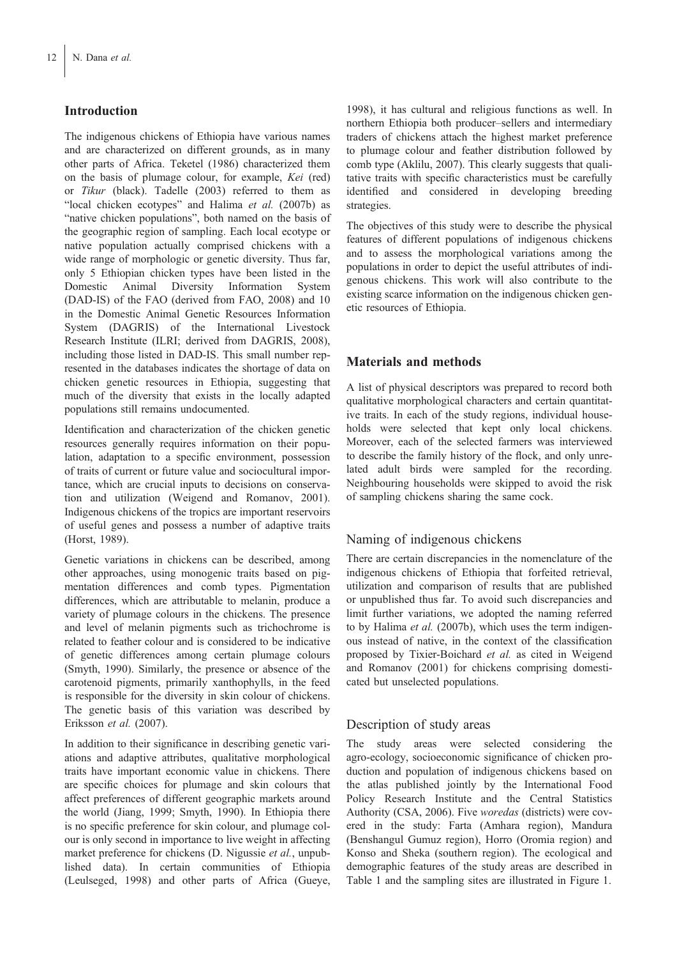## Introduction

The indigenous chickens of Ethiopia have various names and are characterized on different grounds, as in many other parts of Africa. Teketel (1986) characterized them on the basis of plumage colour, for example, Kei (red) or Tikur (black). Tadelle (2003) referred to them as "local chicken ecotypes" and Halima et al. (2007b) as "native chicken populations", both named on the basis of the geographic region of sampling. Each local ecotype or native population actually comprised chickens with a wide range of morphologic or genetic diversity. Thus far, only 5 Ethiopian chicken types have been listed in the Domestic Animal Diversity Information System (DAD-IS) of the FAO (derived from FAO, 2008) and 10 in the Domestic Animal Genetic Resources Information System (DAGRIS) of the International Livestock Research Institute (ILRI; derived from DAGRIS, 2008), including those listed in DAD-IS. This small number represented in the databases indicates the shortage of data on chicken genetic resources in Ethiopia, suggesting that much of the diversity that exists in the locally adapted populations still remains undocumented.

Identification and characterization of the chicken genetic resources generally requires information on their population, adaptation to a specific environment, possession of traits of current or future value and sociocultural importance, which are crucial inputs to decisions on conservation and utilization (Weigend and Romanov, 2001). Indigenous chickens of the tropics are important reservoirs of useful genes and possess a number of adaptive traits (Horst, 1989).

Genetic variations in chickens can be described, among other approaches, using monogenic traits based on pigmentation differences and comb types. Pigmentation differences, which are attributable to melanin, produce a variety of plumage colours in the chickens. The presence and level of melanin pigments such as trichochrome is related to feather colour and is considered to be indicative of genetic differences among certain plumage colours (Smyth, 1990). Similarly, the presence or absence of the carotenoid pigments, primarily xanthophylls, in the feed is responsible for the diversity in skin colour of chickens. The genetic basis of this variation was described by Eriksson et al. (2007).

In addition to their significance in describing genetic variations and adaptive attributes, qualitative morphological traits have important economic value in chickens. There are specific choices for plumage and skin colours that affect preferences of different geographic markets around the world (Jiang, 1999; Smyth, 1990). In Ethiopia there is no specific preference for skin colour, and plumage colour is only second in importance to live weight in affecting market preference for chickens (D. Nigussie et al., unpublished data). In certain communities of Ethiopia (Leulseged, 1998) and other parts of Africa (Gueye,

1998), it has cultural and religious functions as well. In northern Ethiopia both producer–sellers and intermediary traders of chickens attach the highest market preference to plumage colour and feather distribution followed by comb type (Aklilu, 2007). This clearly suggests that qualitative traits with specific characteristics must be carefully identified and considered in developing breeding strategies.

The objectives of this study were to describe the physical features of different populations of indigenous chickens and to assess the morphological variations among the populations in order to depict the useful attributes of indigenous chickens. This work will also contribute to the existing scarce information on the indigenous chicken genetic resources of Ethiopia.

## Materials and methods

A list of physical descriptors was prepared to record both qualitative morphological characters and certain quantitative traits. In each of the study regions, individual households were selected that kept only local chickens. Moreover, each of the selected farmers was interviewed to describe the family history of the flock, and only unrelated adult birds were sampled for the recording. Neighbouring households were skipped to avoid the risk of sampling chickens sharing the same cock.

## Naming of indigenous chickens

There are certain discrepancies in the nomenclature of the indigenous chickens of Ethiopia that forfeited retrieval, utilization and comparison of results that are published or unpublished thus far. To avoid such discrepancies and limit further variations, we adopted the naming referred to by Halima et al. (2007b), which uses the term indigenous instead of native, in the context of the classification proposed by Tixier-Boichard et al. as cited in Weigend and Romanov (2001) for chickens comprising domesticated but unselected populations.

#### Description of study areas

The study areas were selected considering the agro-ecology, socioeconomic significance of chicken production and population of indigenous chickens based on the atlas published jointly by the International Food Policy Research Institute and the Central Statistics Authority (CSA, 2006). Five woredas (districts) were covered in the study: Farta (Amhara region), Mandura (Benshangul Gumuz region), Horro (Oromia region) and Konso and Sheka (southern region). The ecological and demographic features of the study areas are described in Table 1 and the sampling sites are illustrated in Figure 1.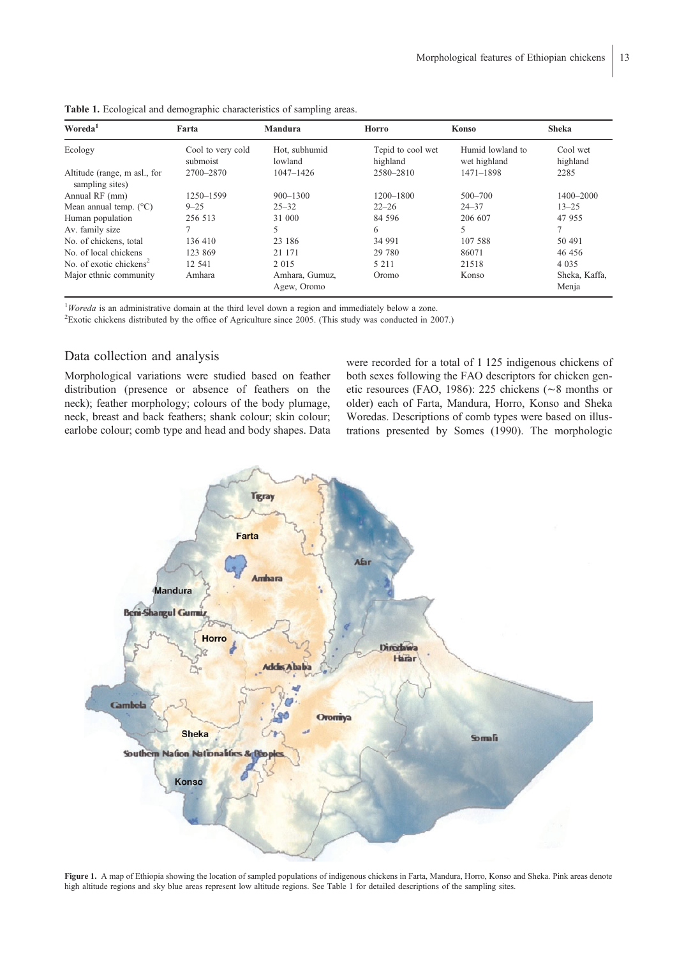| Woreda <sup>1</sup>                             | Farta                         | Mandura                       | Horro                         | <b>Konso</b>                     | <b>Sheka</b>           |
|-------------------------------------------------|-------------------------------|-------------------------------|-------------------------------|----------------------------------|------------------------|
| Ecology                                         | Cool to very cold<br>submoist | Hot, subhumid<br>lowland      | Tepid to cool wet<br>highland | Humid lowland to<br>wet highland | Cool wet<br>highland   |
| Altitude (range, m asl., for<br>sampling sites) | 2700-2870                     | $1047 - 1426$                 | 2580-2810                     | 1471-1898                        | 2285                   |
| Annual RF (mm)                                  | 1250-1599                     | $900 - 1300$                  | 1200-1800                     | $500 - 700$                      | 1400-2000              |
| Mean annual temp. $(^{\circ}C)$                 | $9 - 25$                      | $25 - 32$                     | $22 - 26$                     | $24 - 37$                        | $13 - 25$              |
| Human population                                | 256 513                       | 31 000                        | 84 5 96                       | 206 607                          | 47 955                 |
| Av. family size                                 |                               | 5                             | 6                             | 5                                | 7                      |
| No. of chickens, total                          | 136 410                       | 23 186                        | 34 991                        | 107 588                          | 50 491                 |
| No. of local chickens                           | 123 869                       | 21 171                        | 29 780                        | 86071                            | 46 45 6                |
| No. of exotic chickens <sup>2</sup>             | 12 541                        | 2 0 1 5                       | 5 2 1 1                       | 21518                            | 4 0 3 5                |
| Major ethnic community                          | Amhara                        | Amhara, Gumuz,<br>Agew, Oromo | Oromo                         | Konso                            | Sheka, Kaffa,<br>Menja |

Table 1. Ecological and demographic characteristics of sampling areas.

<sup>1</sup>Woreda is an administrative domain at the third level down a region and immediately below a zone.<br><sup>2</sup>Exotic chickens distributed by the office of Agriculture since 2005. (This study was conducted in 20

<sup>2</sup> Exotic chickens distributed by the office of Agriculture since 2005. (This study was conducted in 2007.)

#### Data collection and analysis

Morphological variations were studied based on feather distribution (presence or absence of feathers on the neck); feather morphology; colours of the body plumage, neck, breast and back feathers; shank colour; skin colour; earlobe colour; comb type and head and body shapes. Data were recorded for a total of 1 125 indigenous chickens of both sexes following the FAO descriptors for chicken genetic resources (FAO, 1986): 225 chickens (∼8 months or older) each of Farta, Mandura, Horro, Konso and Sheka Woredas. Descriptions of comb types were based on illustrations presented by Somes (1990). The morphologic



Figure 1. A map of Ethiopia showing the location of sampled populations of indigenous chickens in Farta, Mandura, Horro, Konso and Sheka. Pink areas denote high altitude regions and sky blue areas represent low altitude regions. See Table 1 for detailed descriptions of the sampling sites.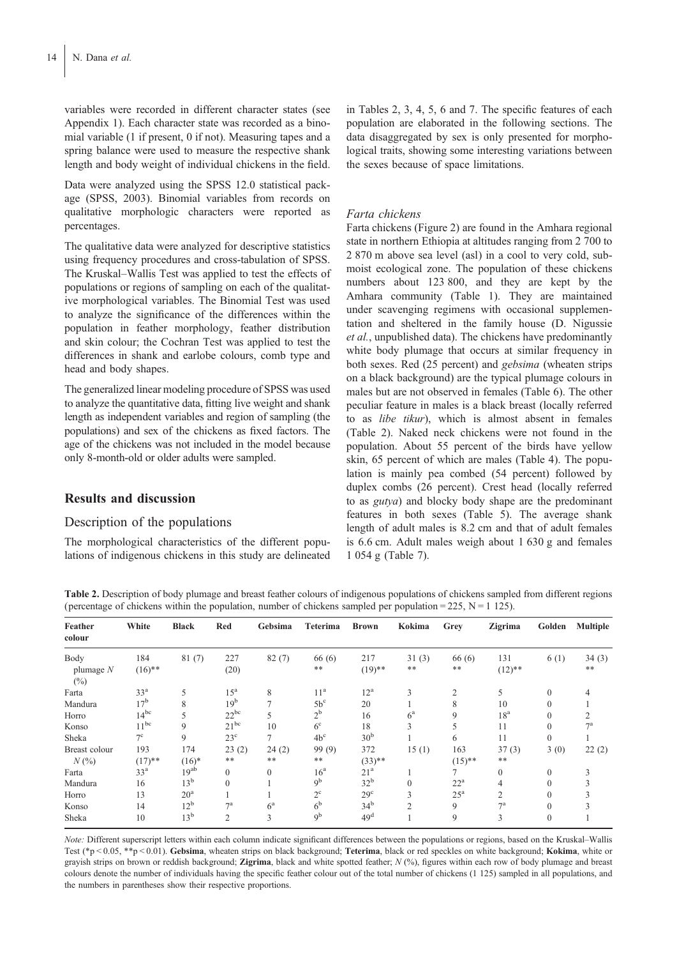variables were recorded in different character states (see Appendix 1). Each character state was recorded as a binomial variable (1 if present, 0 if not). Measuring tapes and a spring balance were used to measure the respective shank length and body weight of individual chickens in the field.

Data were analyzed using the SPSS 12.0 statistical package (SPSS, 2003). Binomial variables from records on qualitative morphologic characters were reported as percentages.

The qualitative data were analyzed for descriptive statistics using frequency procedures and cross-tabulation of SPSS. The Kruskal–Wallis Test was applied to test the effects of populations or regions of sampling on each of the qualitative morphological variables. The Binomial Test was used to analyze the significance of the differences within the population in feather morphology, feather distribution and skin colour; the Cochran Test was applied to test the differences in shank and earlobe colours, comb type and head and body shapes.

The generalized linear modeling procedure of SPSS was used to analyze the quantitative data, fitting live weight and shank length as independent variables and region of sampling (the populations) and sex of the chickens as fixed factors. The age of the chickens was not included in the model because only 8-month-old or older adults were sampled.

## Results and discussion

## Description of the populations

The morphological characteristics of the different populations of indigenous chickens in this study are delineated in Tables 2, 3, 4, 5, 6 and 7. The specific features of each population are elaborated in the following sections. The data disaggregated by sex is only presented for morphological traits, showing some interesting variations between the sexes because of space limitations.

#### Farta chickens

Farta chickens (Figure 2) are found in the Amhara regional state in northern Ethiopia at altitudes ranging from 2 700 to 2 870 m above sea level (asl) in a cool to very cold, submoist ecological zone. The population of these chickens numbers about 123 800, and they are kept by the Amhara community (Table 1). They are maintained under scavenging regimens with occasional supplementation and sheltered in the family house (D. Nigussie et al., unpublished data). The chickens have predominantly white body plumage that occurs at similar frequency in both sexes. Red (25 percent) and gebsima (wheaten strips on a black background) are the typical plumage colours in males but are not observed in females (Table 6). The other peculiar feature in males is a black breast (locally referred to as libe tikur), which is almost absent in females (Table 2). Naked neck chickens were not found in the population. About 55 percent of the birds have yellow skin, 65 percent of which are males (Table 4). The population is mainly pea combed (54 percent) followed by duplex combs (26 percent). Crest head (locally referred to as gutya) and blocky body shape are the predominant features in both sexes (Table 5). The average shank length of adult males is 8.2 cm and that of adult females is 6.6 cm. Adult males weigh about 1 630 g and females 1 054 g (Table 7).

Table 2. Description of body plumage and breast feather colours of indigenous populations of chickens sampled from different regions (percentage of chickens within the population, number of chickens sampled per population = 225,  $N = 1$  125).

| Feather<br>colour          | White            | <b>Black</b>     | Red             | Gebsima          | <b>Teterima</b> | <b>Brown</b>     | Kokima         | Grey             | Zigrima          | Golden       | <b>Multiple</b> |
|----------------------------|------------------|------------------|-----------------|------------------|-----------------|------------------|----------------|------------------|------------------|--------------|-----------------|
| Body<br>plumage $N$<br>(%) | 184<br>$(16)$ ** | 81(7)            | 227<br>(20)     | 82(7)            | 66 (6)<br>$***$ | 217<br>$(19)$ ** | 31(3)<br>$***$ | 66 (6)<br>$***$  | 131<br>$(12)$ ** | 6(1)         | 34(3)<br>$***$  |
| Farta                      | 33 <sup>a</sup>  | 5                | 15 <sup>a</sup> | 8                | 11 <sup>a</sup> | $12^a$           | 3              | $\overline{2}$   | 5                | $\mathbf{0}$ |                 |
| Mandura                    | 17 <sup>b</sup>  | 8                | 19 <sup>b</sup> | 7                | $5b^c$          | 20               |                | 8                | 10               | $\mathbf{0}$ |                 |
| Horro                      | $14^{bc}$        | 5                | $22^{bc}$       | 5                | $2^{\rm b}$     | 16               | 6 <sup>a</sup> | 9                | 18 <sup>a</sup>  | $\mathbf{0}$ |                 |
| Konso                      | $11^{bc}$        | 9                | $21^{bc}$       | 10               | 6 <sup>c</sup>  | 18               | $\mathcal{E}$  | 5                | 11               | $\mathbf{0}$ | 7 <sup>a</sup>  |
| Sheka                      | $7^{\circ}$      | 9                | $23^{\circ}$    | 7                | $4b^c$          | 30 <sup>b</sup>  |                | 6                | 11               | $\mathbf{0}$ |                 |
| Breast colour<br>N(%       | 193<br>$(17)$ ** | 174<br>$(16)^*$  | 23(2)<br>$***$  | 24(2)<br>**      | 99 (9)<br>$***$ | 372<br>$(33)$ ** | 15(1)          | 163<br>$(15)$ ** | 37(3)<br>$***$   | 3(0)         | 22(2)           |
| Farta                      | 33 <sup>a</sup>  | 19 <sup>ab</sup> | $\mathbf{0}$    | $\boldsymbol{0}$ | 16 <sup>a</sup> | 21 <sup>a</sup>  |                |                  | $\mathbf{0}$     | $\mathbf{0}$ |                 |
| Mandura                    | 16               | $13^{\rm b}$     | $\mathbf{0}$    |                  | 9 <sup>b</sup>  | $32^{\rm b}$     | $\mathbf{0}$   | $22^{\rm a}$     | 4                | $\mathbf{0}$ |                 |
| Horro                      | 13               | 20 <sup>a</sup>  |                 |                  | $2^{\rm c}$     | 29 <sup>c</sup>  | 3              | $25^{\rm a}$     | $\overline{2}$   | $\Omega$     |                 |
| Konso                      | 14               | $12^{\rm b}$     | $\tau$ a        | $6^{\rm a}$      | $6^{\rm b}$     | 34 <sup>b</sup>  | $\overline{2}$ | 9                | $7^{\rm a}$      | $\mathbf{0}$ |                 |
| Sheka                      | 10               | $13^{\rm b}$     | $\overline{c}$  | 3                | 9 <sup>b</sup>  | 49 <sup>d</sup>  |                | 9                | 3                | $\mathbf{0}$ |                 |

Note: Different superscript letters within each column indicate significant differences between the populations or regions, based on the Kruskal–Wallis Test (\*p < 0.05, \*\*p < 0.01). Gebsima, wheaten strips on black background; Teterima, black or red speckles on white background; Kokima, white or grayish strips on brown or reddish background; Zigrima, black and white spotted feather;  $N(\%)$ , figures within each row of body plumage and breast colours denote the number of individuals having the specific feather colour out of the total number of chickens (1 125) sampled in all populations, and the numbers in parentheses show their respective proportions.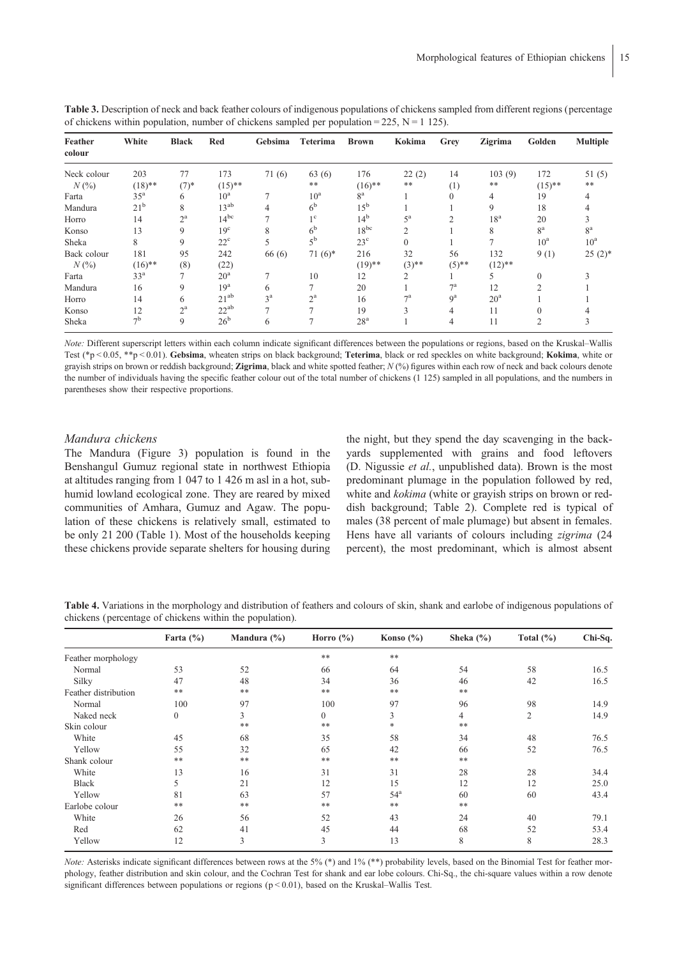| Feather<br>colour | White           | <b>Black</b> | Red             | Gebsima        | Teterima         | <b>Brown</b>    | Kokima         | Grey           | <b>Zigrima</b>  | Golden          | <b>Multiple</b> |
|-------------------|-----------------|--------------|-----------------|----------------|------------------|-----------------|----------------|----------------|-----------------|-----------------|-----------------|
| Neck colour       | 203             | 77           | 173             | 71 (6)         | 63 (6)           | 176             | 22(2)          | 14             | 103(9)          | 172             | 51(5)           |
| N(%               | $(18)$ **       | $(7)$ *      | $(15)$ **       |                | **               | $(16)$ **       | $***$          | (1)            | $***$           | $(15)$ **       | $***$           |
| Farta             | $35^{\rm a}$    | 6            | $10^{\rm a}$    | 7              | $10^a$           | 8 <sup>a</sup>  |                |                | 4               | 19              | 4               |
| Mandura           | 21 <sup>b</sup> | 8            | $13^{ab}$       | 4              | 6 <sup>b</sup>   | $15^{\rm b}$    |                |                | 9               | 18              | 4               |
| Horro             | 14              | $2^{\rm a}$  | $14^{bc}$       |                | 1 <sup>c</sup>   | $14^{\rm b}$    | $5^{\rm a}$    | 2              | 18 <sup>a</sup> | 20              |                 |
| Konso             | 13              | 9            | 19 <sup>c</sup> | 8              | $6^{\rm b}$      | $18^{bc}$       | $\overline{2}$ |                | 8               | 8 <sup>a</sup>  | 8 <sup>a</sup>  |
| Sheka             | 8               | 9            | $22^{\circ}$    | 5              | 5 <sup>b</sup>   | $23^{\circ}$    | $\theta$       |                |                 | 10 <sup>a</sup> | 10 <sup>a</sup> |
| Back colour       | 181             | 95           | 242             | 66 (6)         | $71(6)$ *        | 216             | 32             | 56             | 132             | 9(1)            | $25(2)$ *       |
| N(%               | $(16)$ **       | (8)          | (22)            |                |                  | $(19)$ **       | $(3)$ **       | $(5)$ **       | $(12)$ **       |                 |                 |
| Farta             | 33 <sup>a</sup> | $\tau$       | 20 <sup>a</sup> | 7              | 10               | 12              | $\overline{c}$ |                | 5               | $\Omega$        |                 |
| Mandura           | 16              | 9            | 19 <sup>a</sup> | 6              | $\mathcal{I}$    | 20              |                | 7 <sup>a</sup> | 12              | 2               |                 |
| Horro             | 14              | 6            | $21^{ab}$       | $3^a$          | $2^{\mathrm{a}}$ | 16              | $\tau$ a       | Q <sup>a</sup> | $20^{\rm a}$    |                 |                 |
| Konso             | 12              | $2^{\rm a}$  | $22^{ab}$       | $\overline{ }$ |                  | 19              | $\mathcal{R}$  | 4              | 11              |                 |                 |
| Sheka             | 7 <sup>b</sup>  | 9            | 26 <sup>b</sup> | 6              |                  | 28 <sup>a</sup> |                | 4              | 11              | $\overline{c}$  | 3               |

Table 3. Description of neck and back feather colours of indigenous populations of chickens sampled from different regions (percentage of chickens within population, number of chickens sampled per population = 225,  $N = 1$  125).

Note: Different superscript letters within each column indicate significant differences between the populations or regions, based on the Kruskal–Wallis Test (\*p < 0.05, \*\*p < 0.01). Gebsima, wheaten strips on black background; Teterima, black or red speckles on white background; Kokima, white or grayish strips on brown or reddish background; Zigrima, black and white spotted feather;  $N$  (%) figures within each row of neck and back colours denote the number of individuals having the specific feather colour out of the total number of chickens (1 125) sampled in all populations, and the numbers in parentheses show their respective proportions.

#### Mandura chickens

The Mandura (Figure 3) population is found in the Benshangul Gumuz regional state in northwest Ethiopia at altitudes ranging from 1 047 to 1 426 m asl in a hot, subhumid lowland ecological zone. They are reared by mixed communities of Amhara, Gumuz and Agaw. The population of these chickens is relatively small, estimated to be only 21 200 (Table 1). Most of the households keeping these chickens provide separate shelters for housing during

the night, but they spend the day scavenging in the backyards supplemented with grains and food leftovers (D. Nigussie et al., unpublished data). Brown is the most predominant plumage in the population followed by red, white and *kokima* (white or grayish strips on brown or reddish background; Table 2). Complete red is typical of males (38 percent of male plumage) but absent in females. Hens have all variants of colours including zigrima (24 percent), the most predominant, which is almost absent

Table 4. Variations in the morphology and distribution of feathers and colours of skin, shank and earlobe of indigenous populations of chickens (percentage of chickens within the population).

|                      | Farta $(\% )$ | Mandura $(\% )$ | Horro $(\% )$ | Konso $(\% )$   | Sheka $(\% )$ | Total $(\% )$ | Chi-Sq. |
|----------------------|---------------|-----------------|---------------|-----------------|---------------|---------------|---------|
| Feather morphology   |               |                 | $**$          | $**$            |               |               |         |
| Normal               | 53            | 52              | 66            | 64              | 54            | 58            | 16.5    |
| Silky                | 47            | 48              | 34            | 36              | 46            | 42            | 16.5    |
| Feather distribution | $***$         | $***$           | $**$          | $***$           | $***$         |               |         |
| Normal               | 100           | 97              | 100           | 97              | 96            | 98            | 14.9    |
| Naked neck           | $\mathbf{0}$  | 3               | $\theta$      | 3               | 4             | 2             | 14.9    |
| Skin colour          |               | $***$           | $***$         | $\ast$          | $***$         |               |         |
| White                | 45            | 68              | 35            | 58              | 34            | 48            | 76.5    |
| Yellow               | 55            | 32              | 65            | 42              | 66            | 52            | 76.5    |
| Shank colour         | $**$          | $***$           | $***$         | $***$           | $***$         |               |         |
| White                | 13            | 16              | 31            | 31              | 28            | 28            | 34.4    |
| <b>Black</b>         | 5             | 21              | 12            | 15              | 12            | 12            | 25.0    |
| Yellow               | 81            | 63              | 57            | 54 <sup>a</sup> | 60            | 60            | 43.4    |
| Earlobe colour       | $***$         | $***$           | $***$         | $***$           | $***$         |               |         |
| White                | 26            | 56              | 52            | 43              | 24            | 40            | 79.1    |
| Red                  | 62            | 41              | 45            | 44              | 68            | 52            | 53.4    |
| Yellow               | 12            | 3               | 3             | 13              | 8             | 8             | 28.3    |

*Note:* Asterisks indicate significant differences between rows at the 5% (\*) and 1% (\*\*) probability levels, based on the Binomial Test for feather morphology, feather distribution and skin colour, and the Cochran Test for shank and ear lobe colours. Chi-Sq., the chi-square values within a row denote significant differences between populations or regions ( $p < 0.01$ ), based on the Kruskal–Wallis Test.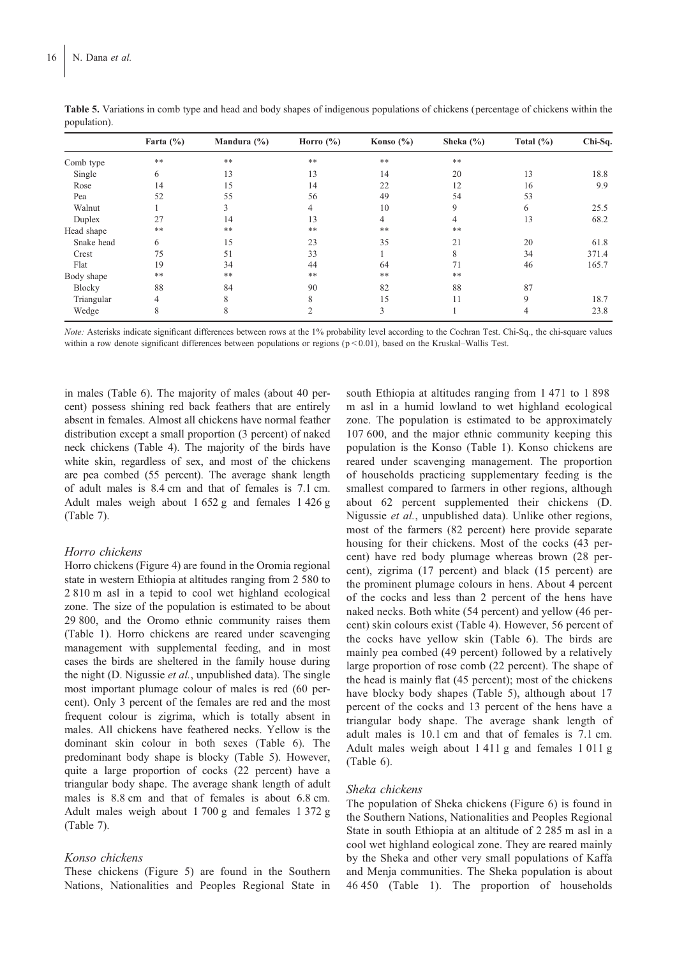|            | Farta $(\% )$ | Mandura $(\% )$ | Horro $(\% )$ | Konso $(\% )$ | Sheka $(%)$ | Total $(\frac{6}{6})$ | Chi-Sq. |
|------------|---------------|-----------------|---------------|---------------|-------------|-----------------------|---------|
| Comb type  | $***$         | $***$           | $***$         | $***$         | $***$       |                       |         |
| Single     | 6             | 13              | 13            | 14            | 20          | 13                    | 18.8    |
| Rose       | 14            | 15              | 14            | 22            | 12          | 16                    | 9.9     |
| Pea        | 52            | 55              | 56            | 49            | 54          | 53                    |         |
| Walnut     |               | 3               | 4             | 10            | 9           | 6                     | 25.5    |
| Duplex     | 27            | 14              | 13            | 4             | 4           | 13                    | 68.2    |
| Head shape | $***$         | $***$           | $***$         | $***$         | **          |                       |         |
| Snake head | 6             | 15              | 23            | 35            | 21          | 20                    | 61.8    |
| Crest      | 75            | 51              | 33            |               | 8           | 34                    | 371.4   |
| Flat       | 19            | 34              | 44            | 64            | 71          | 46                    | 165.7   |
| Body shape | **            | $***$           | $***$         | $***$         | $***$       |                       |         |
| Blocky     | 88            | 84              | 90            | 82            | 88          | 87                    |         |
| Triangular | 4             | 8               |               | 15            | 11          | 9                     | 18.7    |
| Wedge      | 8             |                 |               | 3             |             |                       | 23.8    |

Table 5. Variations in comb type and head and body shapes of indigenous populations of chickens (percentage of chickens within the population).

Note: Asterisks indicate significant differences between rows at the 1% probability level according to the Cochran Test. Chi-Sq., the chi-square values within a row denote significant differences between populations or regions ( $p < 0.01$ ), based on the Kruskal–Wallis Test.

in males (Table 6). The majority of males (about 40 percent) possess shining red back feathers that are entirely absent in females. Almost all chickens have normal feather distribution except a small proportion (3 percent) of naked neck chickens (Table 4). The majority of the birds have white skin, regardless of sex, and most of the chickens are pea combed (55 percent). The average shank length of adult males is 8.4 cm and that of females is 7.1 cm. Adult males weigh about 1 652 g and females 1 426 g (Table 7).

### Horro chickens

Horro chickens (Figure 4) are found in the Oromia regional state in western Ethiopia at altitudes ranging from 2 580 to 2 810 m asl in a tepid to cool wet highland ecological zone. The size of the population is estimated to be about 29 800, and the Oromo ethnic community raises them (Table 1). Horro chickens are reared under scavenging management with supplemental feeding, and in most cases the birds are sheltered in the family house during the night (D. Nigussie et al., unpublished data). The single most important plumage colour of males is red (60 percent). Only 3 percent of the females are red and the most frequent colour is zigrima, which is totally absent in males. All chickens have feathered necks. Yellow is the dominant skin colour in both sexes (Table 6). The predominant body shape is blocky (Table 5). However, quite a large proportion of cocks (22 percent) have a triangular body shape. The average shank length of adult males is 8.8 cm and that of females is about 6.8 cm. Adult males weigh about 1 700 g and females 1 372 g (Table 7).

#### Konso chickens

These chickens (Figure 5) are found in the Southern Nations, Nationalities and Peoples Regional State in south Ethiopia at altitudes ranging from 1 471 to 1 898 m asl in a humid lowland to wet highland ecological zone. The population is estimated to be approximately 107 600, and the major ethnic community keeping this population is the Konso (Table 1). Konso chickens are reared under scavenging management. The proportion of households practicing supplementary feeding is the smallest compared to farmers in other regions, although about 62 percent supplemented their chickens (D. Nigussie et al., unpublished data). Unlike other regions, most of the farmers (82 percent) here provide separate housing for their chickens. Most of the cocks (43 percent) have red body plumage whereas brown (28 percent), zigrima (17 percent) and black (15 percent) are the prominent plumage colours in hens. About 4 percent of the cocks and less than 2 percent of the hens have naked necks. Both white (54 percent) and yellow (46 percent) skin colours exist (Table 4). However, 56 percent of the cocks have yellow skin (Table 6). The birds are mainly pea combed (49 percent) followed by a relatively large proportion of rose comb (22 percent). The shape of the head is mainly flat (45 percent); most of the chickens have blocky body shapes (Table 5), although about 17 percent of the cocks and 13 percent of the hens have a triangular body shape. The average shank length of adult males is 10.1 cm and that of females is 7.1 cm. Adult males weigh about 1 411 g and females 1 011 g (Table 6).

#### Sheka chickens

The population of Sheka chickens (Figure 6) is found in the Southern Nations, Nationalities and Peoples Regional State in south Ethiopia at an altitude of 2 285 m asl in a cool wet highland eological zone. They are reared mainly by the Sheka and other very small populations of Kaffa and Menja communities. The Sheka population is about 46 450 (Table 1). The proportion of households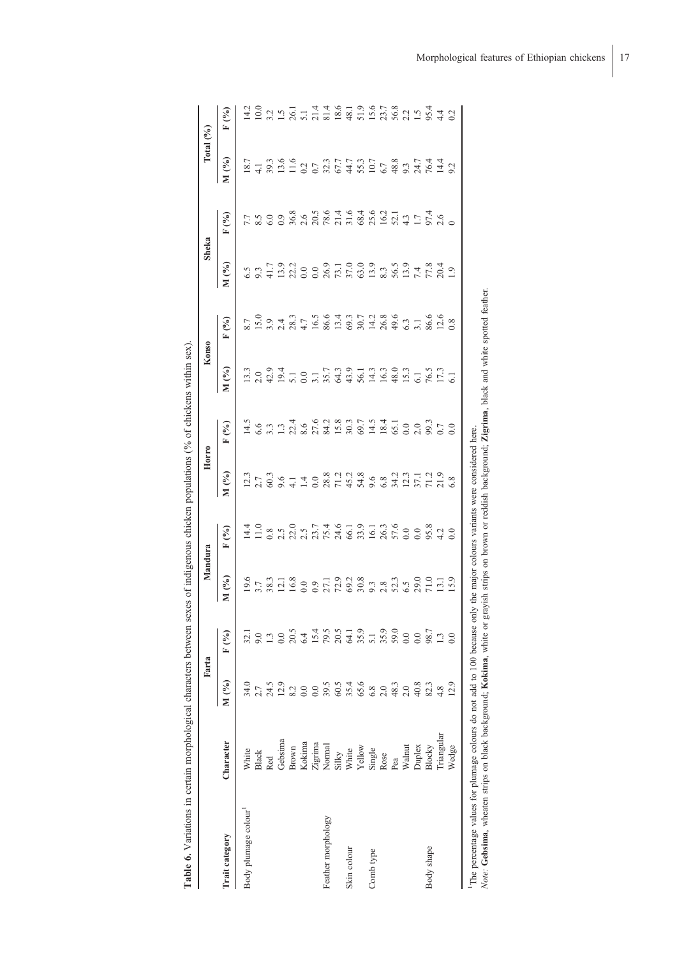|                                                                                                                           |                          | Farta            |               | Mandura          |      | Horro                                                                                                                                                                                                                                                                                                         |             | Konso          |      | Sheka               |        | $\Gamma$ otal (%) |                                                                                                        |
|---------------------------------------------------------------------------------------------------------------------------|--------------------------|------------------|---------------|------------------|------|---------------------------------------------------------------------------------------------------------------------------------------------------------------------------------------------------------------------------------------------------------------------------------------------------------------|-------------|----------------|------|---------------------|--------|-------------------|--------------------------------------------------------------------------------------------------------|
| Trait category                                                                                                            | Character                | $\mathbf{M}$ (%) | F(%)          | $\mathbf{M}$ (%) | F(%) | $\mathbf{M}$ (%)                                                                                                                                                                                                                                                                                              | F $(^{96})$ | $M(^{9}/_{0})$ | F(%) | $\mathbf{M}$ $(\%)$ | F(°/0) | $M( ^{0}\%)$      | F(%)                                                                                                   |
| Body plumage colour                                                                                                       | White                    | 34.0             | 32.           |                  |      |                                                                                                                                                                                                                                                                                                               |             |                |      |                     |        |                   |                                                                                                        |
|                                                                                                                           | Black                    | 2.7              | 0.6           |                  |      |                                                                                                                                                                                                                                                                                                               |             |                |      |                     |        |                   |                                                                                                        |
|                                                                                                                           | Red                      | 24.5             | 1.3           |                  |      | $\begin{array}{l} 1277 \\ 1500 \\ 1600 \\ 1700 \\ 1800 \\ 1900 \\ 1900 \\ 1900 \\ 1900 \\ 1900 \\ 1900 \\ 1900 \\ 1900 \\ 1900 \\ 1900 \\ 1900 \\ 1900 \\ 1900 \\ 1900 \\ 1900 \\ 1900 \\ 1900 \\ 1900 \\ 1900 \\ 1900 \\ 1900 \\ 1900 \\ 1900 \\ 1900 \\ 1900 \\ 1900 \\ 1900 \\ 1900 \\ 1900 \\ 1900 \\ 19$ |             |                |      |                     |        |                   | 1 0 0 1 1 5 1 1 1 1 2 9 1 0 1 0 1 0 1 0 1 1 2 4 0<br>1 0 1 1 2 3 5 1 1 2 3 4 5 5 6 7 6 7 9 7 1 - 8 4 0 |
|                                                                                                                           | Gebsima                  | 12.9             | 0.0           |                  |      |                                                                                                                                                                                                                                                                                                               |             |                |      |                     |        |                   |                                                                                                        |
|                                                                                                                           | Brown                    | 8.2              | 20.5          |                  |      |                                                                                                                                                                                                                                                                                                               |             |                |      |                     |        |                   |                                                                                                        |
|                                                                                                                           | Kokima                   |                  | 6.4           |                  |      |                                                                                                                                                                                                                                                                                                               |             |                |      |                     |        |                   |                                                                                                        |
|                                                                                                                           | $Z$ igrima               |                  | 15.4          |                  |      |                                                                                                                                                                                                                                                                                                               |             |                |      |                     |        |                   |                                                                                                        |
| Feather morphology                                                                                                        | Normal                   | 39.5             | 79.5          |                  |      |                                                                                                                                                                                                                                                                                                               |             |                |      |                     |        |                   |                                                                                                        |
|                                                                                                                           |                          | 60.5             | 20.5          |                  |      |                                                                                                                                                                                                                                                                                                               |             |                |      |                     |        |                   |                                                                                                        |
| Skin colour                                                                                                               |                          | 35.4             | 64.1          |                  |      |                                                                                                                                                                                                                                                                                                               |             |                |      |                     |        |                   |                                                                                                        |
|                                                                                                                           | Silky<br>White<br>Yellow | 65.6             | 35.9          |                  |      |                                                                                                                                                                                                                                                                                                               |             |                |      |                     |        |                   |                                                                                                        |
| Comb type                                                                                                                 | Single<br>Rose           | 6.8              | 5.1           |                  |      |                                                                                                                                                                                                                                                                                                               |             |                |      |                     |        |                   |                                                                                                        |
|                                                                                                                           |                          | 2.0              | 35.9          |                  |      |                                                                                                                                                                                                                                                                                                               |             |                |      |                     |        |                   |                                                                                                        |
|                                                                                                                           | Pea                      | 48.3             | 59.0          |                  |      |                                                                                                                                                                                                                                                                                                               |             |                |      |                     |        |                   |                                                                                                        |
|                                                                                                                           | Walnut                   | 2.0              | 0.0           |                  |      |                                                                                                                                                                                                                                                                                                               |             |                |      |                     |        |                   |                                                                                                        |
|                                                                                                                           | Duplex                   | 40.8             | 0.0           |                  |      |                                                                                                                                                                                                                                                                                                               |             |                |      |                     |        |                   |                                                                                                        |
| Body shape                                                                                                                | Blocky                   | 82.3             | 98.7          |                  |      |                                                                                                                                                                                                                                                                                                               |             |                |      |                     |        |                   |                                                                                                        |
|                                                                                                                           | Iriangular               | 4.8              | $\frac{3}{2}$ |                  |      |                                                                                                                                                                                                                                                                                                               |             |                |      |                     |        |                   |                                                                                                        |
|                                                                                                                           | Wedge                    | 12.9             |               |                  |      |                                                                                                                                                                                                                                                                                                               |             |                |      |                     |        |                   |                                                                                                        |
| The percentage values for plumage colours do not add to 100 because only the major colours variants were considered here. |                          |                  |               |                  |      |                                                                                                                                                                                                                                                                                                               |             |                |      |                     |        |                   |                                                                                                        |

| à<br>Ş<br>ł      |  |
|------------------|--|
|                  |  |
|                  |  |
|                  |  |
|                  |  |
|                  |  |
|                  |  |
|                  |  |
| ۵                |  |
|                  |  |
| i                |  |
| j                |  |
|                  |  |
|                  |  |
|                  |  |
|                  |  |
|                  |  |
|                  |  |
|                  |  |
| l<br>ı<br>ŧ      |  |
|                  |  |
|                  |  |
| 1<br>ł           |  |
| l                |  |
|                  |  |
| Š                |  |
| ı                |  |
| i                |  |
| i                |  |
| ł<br>Ì           |  |
| i                |  |
| ţ<br>֚֬֕         |  |
| į<br>١<br>ł<br>j |  |
|                  |  |
|                  |  |
| i                |  |
|                  |  |
|                  |  |
|                  |  |
|                  |  |
|                  |  |
| j                |  |
| ļ<br>i           |  |
| Ì                |  |
| :<br>ł           |  |
| ć<br>ab          |  |
| E<br>l           |  |

Note: Gebsima, wheaten strips on black background; Kokima, white or grayish strips on brown or reddish background; Zigrima, black and white spotted feather. Note: Gebsima, wheaten strips on black background; Kokima, white or grayish strips on brown or reddish background; Zigrima, black and white spotted feather.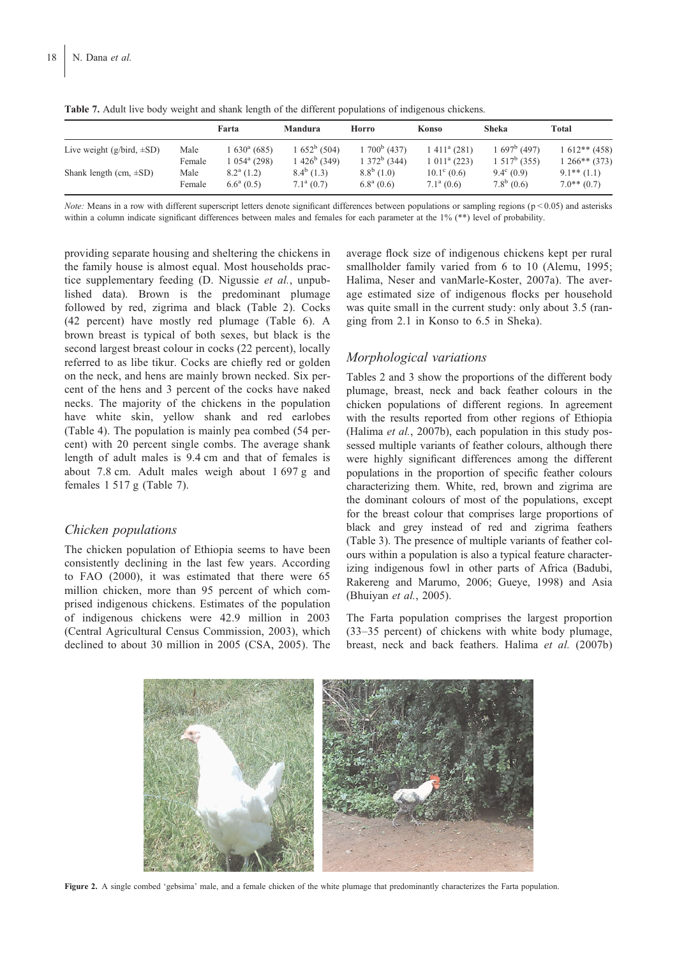|                                |        | Farta                   | Mandura               | Horro                  | Konso                      | Sheka               | Total           |
|--------------------------------|--------|-------------------------|-----------------------|------------------------|----------------------------|---------------------|-----------------|
| Live weight $(g/bird, \pm SD)$ | Male   | $630^{\rm a}$ (685)     | $1.652^b(504)$        | . 700 $^{\rm b}$ (437) | $1.411$ <sup>a</sup> (281) | $697^{\rm b}$ (497) | $1.612**$ (458) |
|                                | Female | $1\,054^{\rm a}\,(298)$ | $1,426^{\circ}$ (349) | $1372^b(344)$          | $1\ 011^a\ (223)$          | $1.517^b$ (355)     | $1.266**$ (373) |
| Shank length $(cm, \pm SD)$    | Male   | $8.2^{\rm a}$ (1.2)     | $8.4^b$ (1.3)         | $8.8^b$ (1.0)          | $10.1^{\circ}$ (0.6)       | $9.4^{\circ}$ (0.9) | $9.1**$ (1.1)   |
|                                | Female | $6.6^{\rm a}$ (0.5)     | $7.1^{\rm a}$ (0.7)   | $6.8^{\rm a}$ (0.6)    | $7.1^{\rm a}$ (0.6)        | $7.8^b(0.6)$        | $7.0**$ (0.7)   |

Table 7. Adult live body weight and shank length of the different populations of indigenous chickens.

*Note:* Means in a row with different superscript letters denote significant differences between populations or sampling regions ( $p < 0.05$ ) and asterisks within a column indicate significant differences between males and females for each parameter at the 1% (\*\*) level of probability.

providing separate housing and sheltering the chickens in the family house is almost equal. Most households practice supplementary feeding (D. Nigussie et al., unpublished data). Brown is the predominant plumage followed by red, zigrima and black (Table 2). Cocks (42 percent) have mostly red plumage (Table 6). A brown breast is typical of both sexes, but black is the second largest breast colour in cocks (22 percent), locally referred to as libe tikur. Cocks are chiefly red or golden on the neck, and hens are mainly brown necked. Six percent of the hens and 3 percent of the cocks have naked necks. The majority of the chickens in the population have white skin, yellow shank and red earlobes (Table 4). The population is mainly pea combed (54 percent) with 20 percent single combs. The average shank length of adult males is 9.4 cm and that of females is about 7.8 cm. Adult males weigh about 1 697 g and females 1 517 g (Table 7).

#### Chicken populations

The chicken population of Ethiopia seems to have been consistently declining in the last few years. According to FAO (2000), it was estimated that there were 65 million chicken, more than 95 percent of which comprised indigenous chickens. Estimates of the population of indigenous chickens were 42.9 million in 2003 (Central Agricultural Census Commission, 2003), which declined to about 30 million in 2005 (CSA, 2005). The average flock size of indigenous chickens kept per rural smallholder family varied from 6 to 10 (Alemu, 1995; Halima, Neser and vanMarle-Koster, 2007a). The average estimated size of indigenous flocks per household was quite small in the current study: only about 3.5 (ranging from 2.1 in Konso to 6.5 in Sheka).

## Morphological variations

Tables 2 and 3 show the proportions of the different body plumage, breast, neck and back feather colours in the chicken populations of different regions. In agreement with the results reported from other regions of Ethiopia (Halima et al., 2007b), each population in this study possessed multiple variants of feather colours, although there were highly significant differences among the different populations in the proportion of specific feather colours characterizing them. White, red, brown and zigrima are the dominant colours of most of the populations, except for the breast colour that comprises large proportions of black and grey instead of red and zigrima feathers (Table 3). The presence of multiple variants of feather colours within a population is also a typical feature characterizing indigenous fowl in other parts of Africa (Badubi, Rakereng and Marumo, 2006; Gueye, 1998) and Asia (Bhuiyan et al., 2005).

The Farta population comprises the largest proportion (33–35 percent) of chickens with white body plumage, breast, neck and back feathers. Halima et al. (2007b)



Figure 2. A single combed 'gebsima' male, and a female chicken of the white plumage that predominantly characterizes the Farta population.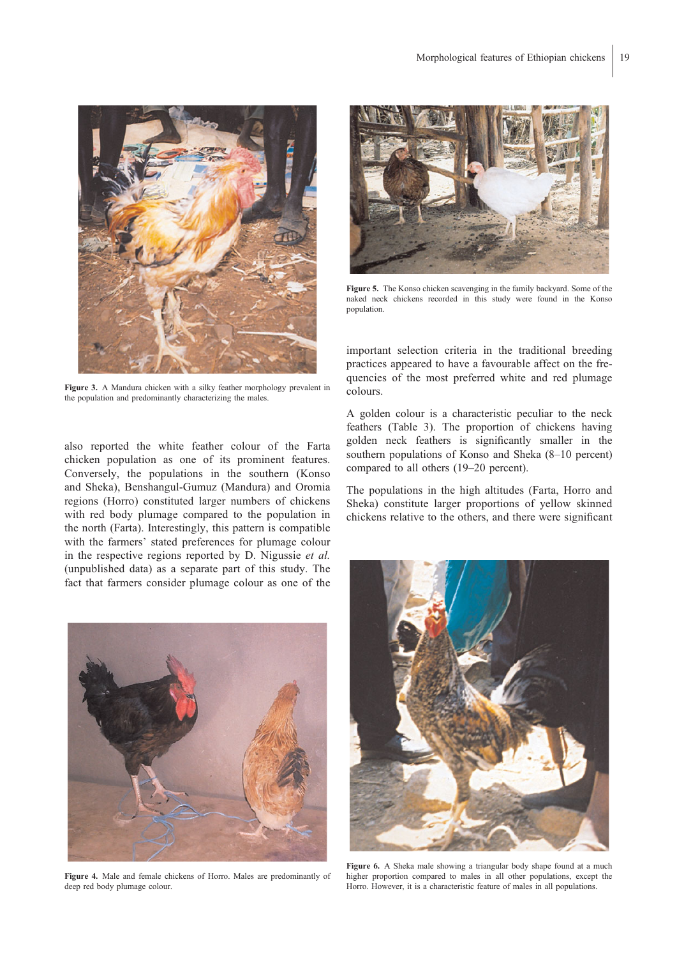

Figure 3. A Mandura chicken with a silky feather morphology prevalent in the population and predominantly characterizing the males.

also reported the white feather colour of the Farta chicken population as one of its prominent features. Conversely, the populations in the southern (Konso and Sheka), Benshangul-Gumuz (Mandura) and Oromia regions (Horro) constituted larger numbers of chickens with red body plumage compared to the population in the north (Farta). Interestingly, this pattern is compatible with the farmers' stated preferences for plumage colour in the respective regions reported by D. Nigussie et al. (unpublished data) as a separate part of this study. The fact that farmers consider plumage colour as one of the



Figure 4. Male and female chickens of Horro. Males are predominantly of deep red body plumage colour.



Figure 5. The Konso chicken scavenging in the family backyard. Some of the naked neck chickens recorded in this study were found in the Konso population.

important selection criteria in the traditional breeding practices appeared to have a favourable affect on the frequencies of the most preferred white and red plumage colours.

A golden colour is a characteristic peculiar to the neck feathers (Table 3). The proportion of chickens having golden neck feathers is significantly smaller in the southern populations of Konso and Sheka (8–10 percent) compared to all others (19–20 percent).

The populations in the high altitudes (Farta, Horro and Sheka) constitute larger proportions of yellow skinned chickens relative to the others, and there were significant



Figure 6. A Sheka male showing a triangular body shape found at a much higher proportion compared to males in all other populations, except the Horro. However, it is a characteristic feature of males in all populations.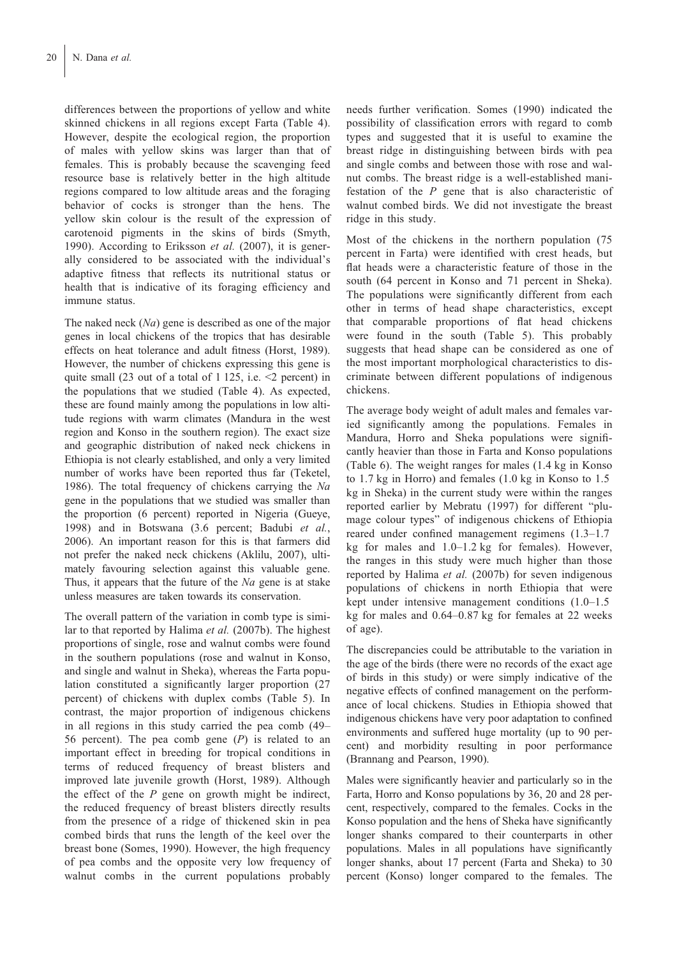differences between the proportions of yellow and white skinned chickens in all regions except Farta (Table 4). However, despite the ecological region, the proportion of males with yellow skins was larger than that of females. This is probably because the scavenging feed resource base is relatively better in the high altitude regions compared to low altitude areas and the foraging behavior of cocks is stronger than the hens. The yellow skin colour is the result of the expression of carotenoid pigments in the skins of birds (Smyth, 1990). According to Eriksson et al. (2007), it is generally considered to be associated with the individual's adaptive fitness that reflects its nutritional status or health that is indicative of its foraging efficiency and immune status.

The naked neck (Na) gene is described as one of the major genes in local chickens of the tropics that has desirable effects on heat tolerance and adult fitness (Horst, 1989). However, the number of chickens expressing this gene is quite small (23 out of a total of 1 125, i.e. <2 percent) in the populations that we studied (Table 4). As expected, these are found mainly among the populations in low altitude regions with warm climates (Mandura in the west region and Konso in the southern region). The exact size and geographic distribution of naked neck chickens in Ethiopia is not clearly established, and only a very limited number of works have been reported thus far (Teketel, 1986). The total frequency of chickens carrying the Na gene in the populations that we studied was smaller than the proportion (6 percent) reported in Nigeria (Gueye, 1998) and in Botswana (3.6 percent; Badubi et al., 2006). An important reason for this is that farmers did not prefer the naked neck chickens (Aklilu, 2007), ultimately favouring selection against this valuable gene. Thus, it appears that the future of the  $Na$  gene is at stake unless measures are taken towards its conservation.

The overall pattern of the variation in comb type is similar to that reported by Halima et al. (2007b). The highest proportions of single, rose and walnut combs were found in the southern populations (rose and walnut in Konso, and single and walnut in Sheka), whereas the Farta population constituted a significantly larger proportion (27 percent) of chickens with duplex combs (Table 5). In contrast, the major proportion of indigenous chickens in all regions in this study carried the pea comb (49– 56 percent). The pea comb gene  $(P)$  is related to an important effect in breeding for tropical conditions in terms of reduced frequency of breast blisters and improved late juvenile growth (Horst, 1989). Although the effect of the  $P$  gene on growth might be indirect, the reduced frequency of breast blisters directly results from the presence of a ridge of thickened skin in pea combed birds that runs the length of the keel over the breast bone (Somes, 1990). However, the high frequency of pea combs and the opposite very low frequency of walnut combs in the current populations probably needs further verification. Somes (1990) indicated the possibility of classification errors with regard to comb types and suggested that it is useful to examine the breast ridge in distinguishing between birds with pea and single combs and between those with rose and walnut combs. The breast ridge is a well-established manifestation of the  $P$  gene that is also characteristic of walnut combed birds. We did not investigate the breast ridge in this study.

Most of the chickens in the northern population (75 percent in Farta) were identified with crest heads, but flat heads were a characteristic feature of those in the south (64 percent in Konso and 71 percent in Sheka). The populations were significantly different from each other in terms of head shape characteristics, except that comparable proportions of flat head chickens were found in the south (Table 5). This probably suggests that head shape can be considered as one of the most important morphological characteristics to discriminate between different populations of indigenous chickens.

The average body weight of adult males and females varied significantly among the populations. Females in Mandura, Horro and Sheka populations were significantly heavier than those in Farta and Konso populations (Table 6). The weight ranges for males (1.4 kg in Konso to 1.7 kg in Horro) and females (1.0 kg in Konso to 1.5 kg in Sheka) in the current study were within the ranges reported earlier by Mebratu (1997) for different "plumage colour types" of indigenous chickens of Ethiopia reared under confined management regimens (1.3–1.7 kg for males and 1.0–1.2 kg for females). However, the ranges in this study were much higher than those reported by Halima et al. (2007b) for seven indigenous populations of chickens in north Ethiopia that were kept under intensive management conditions (1.0–1.5 kg for males and 0.64–0.87 kg for females at 22 weeks of age).

The discrepancies could be attributable to the variation in the age of the birds (there were no records of the exact age of birds in this study) or were simply indicative of the negative effects of confined management on the performance of local chickens. Studies in Ethiopia showed that indigenous chickens have very poor adaptation to confined environments and suffered huge mortality (up to 90 percent) and morbidity resulting in poor performance (Brannang and Pearson, 1990).

Males were significantly heavier and particularly so in the Farta, Horro and Konso populations by 36, 20 and 28 percent, respectively, compared to the females. Cocks in the Konso population and the hens of Sheka have significantly longer shanks compared to their counterparts in other populations. Males in all populations have significantly longer shanks, about 17 percent (Farta and Sheka) to 30 percent (Konso) longer compared to the females. The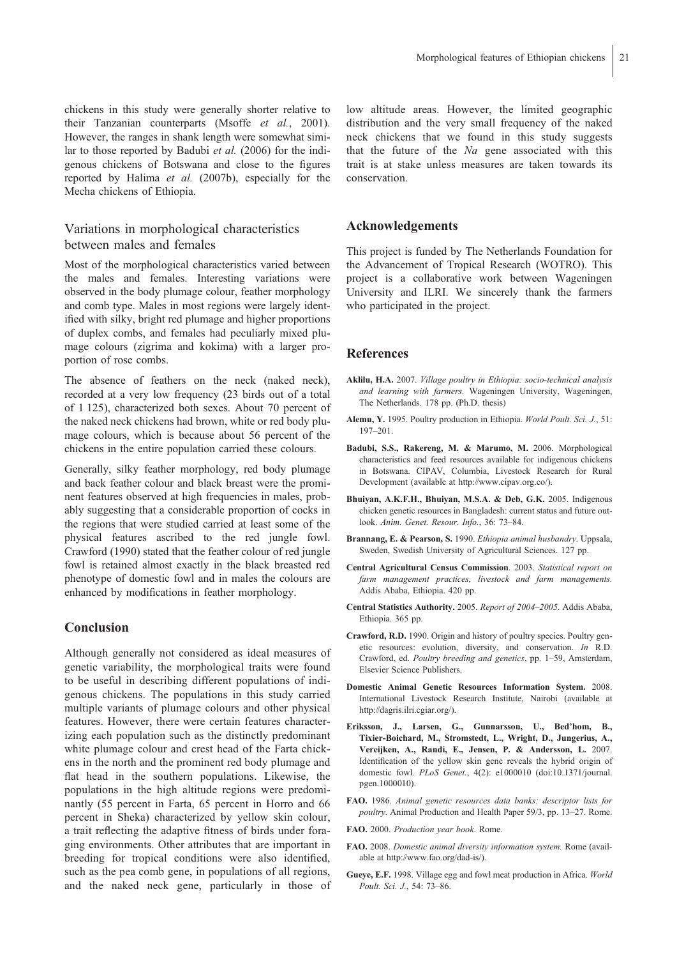chickens in this study were generally shorter relative to their Tanzanian counterparts (Msoffe et al., 2001). However, the ranges in shank length were somewhat similar to those reported by Badubi et al. (2006) for the indigenous chickens of Botswana and close to the figures reported by Halima et al. (2007b), especially for the Mecha chickens of Ethiopia.

# Variations in morphological characteristics between males and females

Most of the morphological characteristics varied between the males and females. Interesting variations were observed in the body plumage colour, feather morphology and comb type. Males in most regions were largely identified with silky, bright red plumage and higher proportions of duplex combs, and females had peculiarly mixed plumage colours (zigrima and kokima) with a larger proportion of rose combs.

The absence of feathers on the neck (naked neck), recorded at a very low frequency (23 birds out of a total of 1 125), characterized both sexes. About 70 percent of the naked neck chickens had brown, white or red body plumage colours, which is because about 56 percent of the chickens in the entire population carried these colours.

Generally, silky feather morphology, red body plumage and back feather colour and black breast were the prominent features observed at high frequencies in males, probably suggesting that a considerable proportion of cocks in the regions that were studied carried at least some of the physical features ascribed to the red jungle fowl. Crawford (1990) stated that the feather colour of red jungle fowl is retained almost exactly in the black breasted red phenotype of domestic fowl and in males the colours are enhanced by modifications in feather morphology.

# **Conclusion**

Although generally not considered as ideal measures of genetic variability, the morphological traits were found to be useful in describing different populations of indigenous chickens. The populations in this study carried multiple variants of plumage colours and other physical features. However, there were certain features characterizing each population such as the distinctly predominant white plumage colour and crest head of the Farta chickens in the north and the prominent red body plumage and flat head in the southern populations. Likewise, the populations in the high altitude regions were predominantly (55 percent in Farta, 65 percent in Horro and 66 percent in Sheka) characterized by yellow skin colour, a trait reflecting the adaptive fitness of birds under foraging environments. Other attributes that are important in breeding for tropical conditions were also identified, such as the pea comb gene, in populations of all regions, and the naked neck gene, particularly in those of low altitude areas. However, the limited geographic distribution and the very small frequency of the naked neck chickens that we found in this study suggests that the future of the  $Na$  gene associated with this trait is at stake unless measures are taken towards its conservation.

# Acknowledgements

This project is funded by The Netherlands Foundation for the Advancement of Tropical Research (WOTRO). This project is a collaborative work between Wageningen University and ILRI. We sincerely thank the farmers who participated in the project.

# References

- Aklilu, H.A. 2007. Village poultry in Ethiopia: socio-technical analysis and learning with farmers. Wageningen University, Wageningen, The Netherlands. 178 pp. (Ph.D. thesis)
- Alemu, Y. 1995. Poultry production in Ethiopia. World Poult. Sci. J., 51: 197–201.
- Badubi, S.S., Rakereng, M. & Marumo, M. 2006. Morphological characteristics and feed resources available for indigenous chickens in Botswana. CIPAV, Columbia, Livestock Research for Rural Development (available at http://www.cipav.org.co/).
- Bhuiyan, A.K.F.H., Bhuiyan, M.S.A. & Deb, G.K. 2005. Indigenous chicken genetic resources in Bangladesh: current status and future outlook. Anim. Genet. Resour. Info., 36: 73–84.
- Brannang, E. & Pearson, S. 1990. Ethiopia animal husbandry. Uppsala, Sweden, Swedish University of Agricultural Sciences. 127 pp.
- Central Agricultural Census Commission. 2003. Statistical report on farm management practices, livestock and farm managements. Addis Ababa, Ethiopia. 420 pp.
- Central Statistics Authority. 2005. Report of 2004–2005. Addis Ababa, Ethiopia. 365 pp.
- Crawford, R.D. 1990. Origin and history of poultry species. Poultry genetic resources: evolution, diversity, and conservation. In R.D. Crawford, ed. Poultry breeding and genetics, pp. 1–59, Amsterdam, Elsevier Science Publishers.
- Domestic Animal Genetic Resources Information System. 2008. International Livestock Research Institute, Nairobi (available at http://dagris.ilri.cgiar.org/).
- Eriksson, J., Larsen, G., Gunnarsson, U., Bed'hom, B., Tixier-Boichard, M., Stromstedt, L., Wright, D., Jungerius, A., Vereijken, A., Randi, E., Jensen, P. & Andersson, L. 2007. Identification of the yellow skin gene reveals the hybrid origin of domestic fowl. PLoS Genet., 4(2): e1000010 (doi:10.1371/journal. pgen.1000010).
- FAO. 1986. Animal genetic resources data banks: descriptor lists for poultry. Animal Production and Health Paper 59/3, pp. 13–27. Rome.
- FAO. 2000. Production year book. Rome.
- FAO. 2008. Domestic animal diversity information system. Rome (available at http://www.fao.org/dad-is/).
- Gueye, E.F. 1998. Village egg and fowl meat production in Africa. World Poult. Sci. J., 54: 73–86.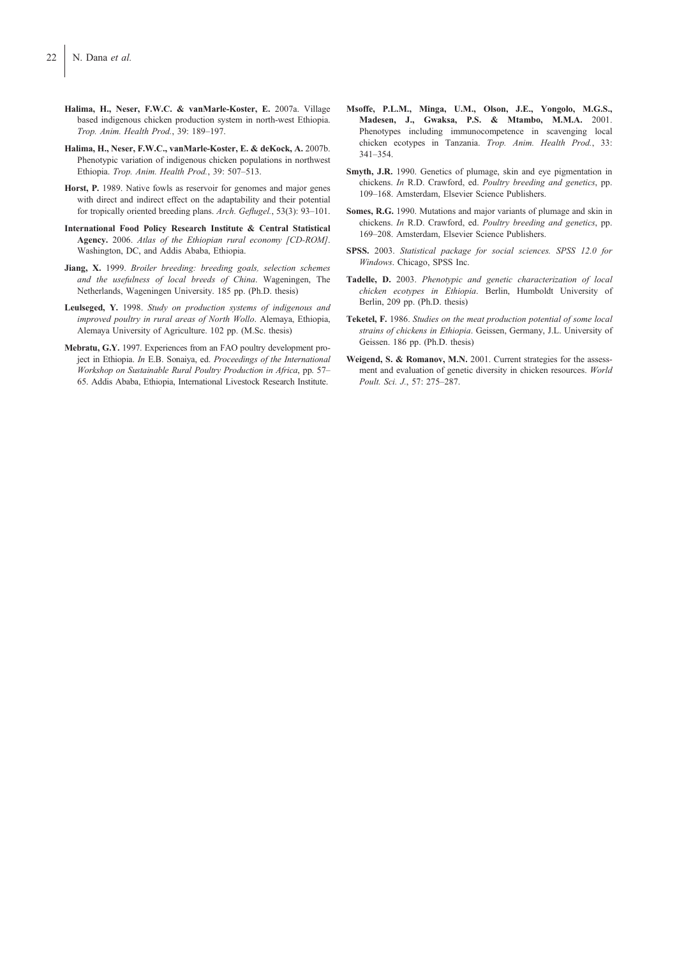- Halima, H., Neser, F.W.C. & vanMarle-Koster, E. 2007a. Village based indigenous chicken production system in north-west Ethiopia. Trop. Anim. Health Prod., 39: 189–197.
- Halima, H., Neser, F.W.C., vanMarle-Koster, E. & deKock, A. 2007b. Phenotypic variation of indigenous chicken populations in northwest Ethiopia. Trop. Anim. Health Prod., 39: 507–513.
- Horst, P. 1989. Native fowls as reservoir for genomes and major genes with direct and indirect effect on the adaptability and their potential for tropically oriented breeding plans. Arch. Geflugel., 53(3): 93–101.
- International Food Policy Research Institute & Central Statistical Agency. 2006. Atlas of the Ethiopian rural economy [CD-ROM]. Washington, DC, and Addis Ababa, Ethiopia.
- Jiang, X. 1999. Broiler breeding: breeding goals, selection schemes and the usefulness of local breeds of China. Wageningen, The Netherlands, Wageningen University. 185 pp. (Ph.D. thesis)
- Leulseged, Y. 1998. Study on production systems of indigenous and improved poultry in rural areas of North Wollo. Alemaya, Ethiopia, Alemaya University of Agriculture. 102 pp. (M.Sc. thesis)
- Mebratu, G.Y. 1997. Experiences from an FAO poultry development project in Ethiopia. In E.B. Sonaiya, ed. Proceedings of the International Workshop on Sustainable Rural Poultry Production in Africa, pp. 57– 65. Addis Ababa, Ethiopia, International Livestock Research Institute.
- Msoffe, P.L.M., Minga, U.M., Olson, J.E., Yongolo, M.G.S., Madesen, J., Gwaksa, P.S. & Mtambo, M.M.A. 2001. Phenotypes including immunocompetence in scavenging local chicken ecotypes in Tanzania. Trop. Anim. Health Prod., 33: 341–354.
- Smyth, J.R. 1990. Genetics of plumage, skin and eye pigmentation in chickens. In R.D. Crawford, ed. Poultry breeding and genetics, pp. 109–168. Amsterdam, Elsevier Science Publishers.
- Somes, R.G. 1990. Mutations and major variants of plumage and skin in chickens. In R.D. Crawford, ed. Poultry breeding and genetics, pp. 169–208. Amsterdam, Elsevier Science Publishers.
- SPSS. 2003. Statistical package for social sciences. SPSS 12.0 for Windows. Chicago, SPSS Inc.
- Tadelle, D. 2003. Phenotypic and genetic characterization of local chicken ecotypes in Ethiopia. Berlin, Humboldt University of Berlin, 209 pp. (Ph.D. thesis)
- Teketel, F. 1986. Studies on the meat production potential of some local strains of chickens in Ethiopia. Geissen, Germany, J.L. University of Geissen. 186 pp. (Ph.D. thesis)
- Weigend, S. & Romanov, M.N. 2001. Current strategies for the assessment and evaluation of genetic diversity in chicken resources. World Poult. Sci. J., 57: 275–287.